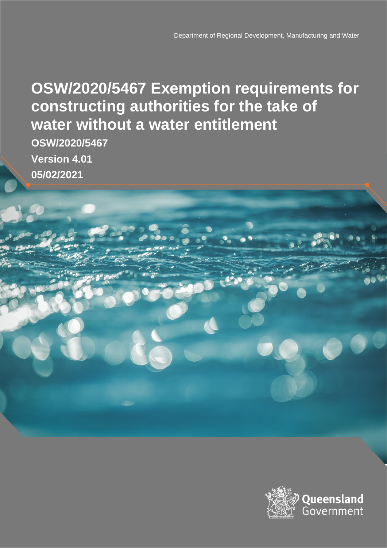### **OSW/2020/5467 Exemption requirements for constructing authorities for the take of water without a water entitlement**

**OSW/2020/5467 Version 4.01 05/02/2021**

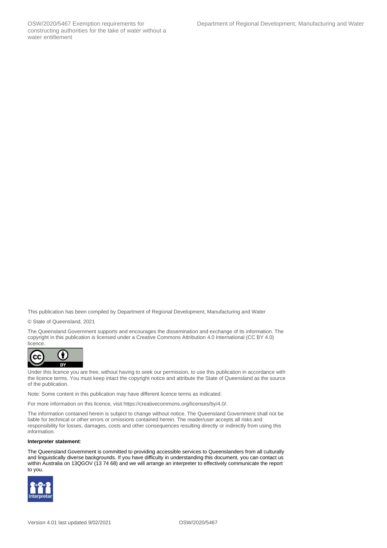This publication has been compiled by Department of Regional Development, Manufacturing and Water

© State of Queensland, 2021

The Queensland Government supports and encourages the dissemination and exchange of its information. The copyright in this publication is licensed under a Creative Commons Attribution 4.0 International (CC BY 4.0) licence.



Under this licence you are free, without having to seek our permission, to use this publication in accordance with the licence terms. You must keep intact the copyright notice and attribute the State of Queensland as the source of the publication.

Note: Some content in this publication may have different licence terms as indicated.

For more information on this licence, visit https://creativecommons.org/licenses/by/4.0/.

The information contained herein is subject to change without notice. The Queensland Government shall not be liable for technical or other errors or omissions contained herein. The reader/user accepts all risks and responsibility for losses, damages, costs and other consequences resulting directly or indirectly from using this information.

#### **Interpreter statement**:

The Queensland Government is committed to providing accessible services to Queenslanders from all culturally and linguistically diverse backgrounds. If you have difficulty in understanding this document, you can contact us within Australia on 13QGOV (13 74 68) and we will arrange an interpreter to effectively communicate the report to you.

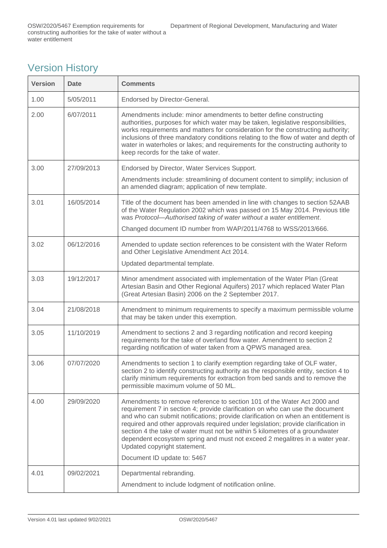#### Version History

| <b>Version</b> | <b>Date</b> | <b>Comments</b>                                                                                                                                                                                                                                                                                                                                                                                                                                                                                                                                                   |
|----------------|-------------|-------------------------------------------------------------------------------------------------------------------------------------------------------------------------------------------------------------------------------------------------------------------------------------------------------------------------------------------------------------------------------------------------------------------------------------------------------------------------------------------------------------------------------------------------------------------|
| 1.00           | 5/05/2011   | Endorsed by Director-General.                                                                                                                                                                                                                                                                                                                                                                                                                                                                                                                                     |
| 2.00           | 6/07/2011   | Amendments include: minor amendments to better define constructing<br>authorities, purposes for which water may be taken, legislative responsibilities,<br>works requirements and matters for consideration for the constructing authority;<br>inclusions of three mandatory conditions relating to the flow of water and depth of<br>water in waterholes or lakes; and requirements for the constructing authority to<br>keep records for the take of water.                                                                                                     |
| 3.00           | 27/09/2013  | Endorsed by Director, Water Services Support.                                                                                                                                                                                                                                                                                                                                                                                                                                                                                                                     |
|                |             | Amendments include: streamlining of document content to simplify; inclusion of<br>an amended diagram; application of new template.                                                                                                                                                                                                                                                                                                                                                                                                                                |
| 3.01           | 16/05/2014  | Title of the document has been amended in line with changes to section 52AAB<br>of the Water Regulation 2002 which was passed on 15 May 2014. Previous title<br>was Protocol-Authorised taking of water without a water entitlement.<br>Changed document ID number from WAP/2011/4768 to WSS/2013/666.                                                                                                                                                                                                                                                            |
| 3.02           | 06/12/2016  | Amended to update section references to be consistent with the Water Reform<br>and Other Legislative Amendment Act 2014.<br>Updated departmental template.                                                                                                                                                                                                                                                                                                                                                                                                        |
|                |             |                                                                                                                                                                                                                                                                                                                                                                                                                                                                                                                                                                   |
| 3.03           | 19/12/2017  | Minor amendment associated with implementation of the Water Plan (Great<br>Artesian Basin and Other Regional Aquifers) 2017 which replaced Water Plan<br>(Great Artesian Basin) 2006 on the 2 September 2017.                                                                                                                                                                                                                                                                                                                                                     |
| 3.04           | 21/08/2018  | Amendment to minimum requirements to specify a maximum permissible volume<br>that may be taken under this exemption.                                                                                                                                                                                                                                                                                                                                                                                                                                              |
| 3.05           | 11/10/2019  | Amendment to sections 2 and 3 regarding notification and record keeping<br>requirements for the take of overland flow water. Amendment to section 2<br>regarding notification of water taken from a QPWS managed area.                                                                                                                                                                                                                                                                                                                                            |
| 3.06           | 07/07/2020  | Amendments to section 1 to clarify exemption regarding take of OLF water,<br>section 2 to identify constructing authority as the responsible entity, section 4 to<br>clarify minimum requirements for extraction from bed sands and to remove the<br>permissible maximum volume of 50 ML.                                                                                                                                                                                                                                                                         |
| 4.00           | 29/09/2020  | Amendments to remove reference to section 101 of the Water Act 2000 and<br>requirement 7 in section 4; provide clarification on who can use the document<br>and who can submit notifications; provide clarification on when an entitlement is<br>required and other approvals required under legislation; provide clarification in<br>section 4 the take of water must not be within 5 kilometres of a groundwater<br>dependent ecosystem spring and must not exceed 2 megalitres in a water year.<br>Updated copyright statement.<br>Document ID update to: 5467 |
| 4.01           | 09/02/2021  | Departmental rebranding.                                                                                                                                                                                                                                                                                                                                                                                                                                                                                                                                          |
|                |             | Amendment to include lodgment of notification online.                                                                                                                                                                                                                                                                                                                                                                                                                                                                                                             |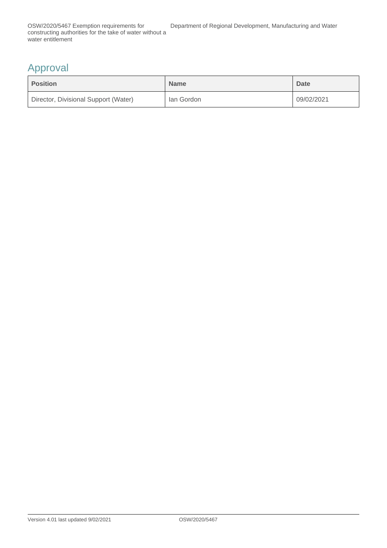#### Approval

| <b>Position</b>                      | <b>Name</b> | <b>Date</b> |
|--------------------------------------|-------------|-------------|
| Director, Divisional Support (Water) | lan Gordon  | 09/02/2021  |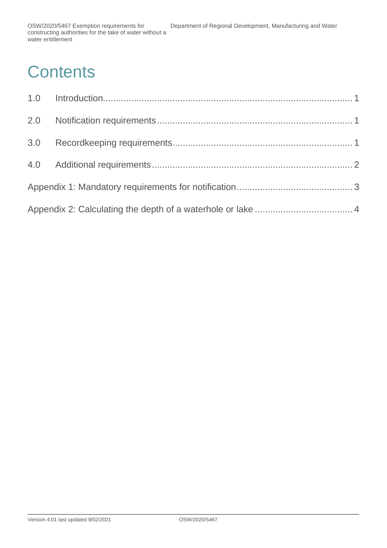# **Contents**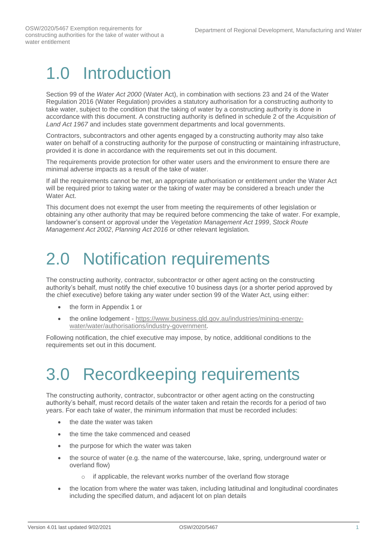## <span id="page-5-0"></span>1.0 Introduction

Section 99 of the *Water Act 2000* (Water Act), in combination with sections 23 and 24 of the Water Regulation 2016 (Water Regulation) provides a statutory authorisation for a constructing authority to take water, subject to the condition that the taking of water by a constructing authority is done in accordance with this document. A constructing authority is defined in schedule 2 of the *Acquisition of Land Act 1967* and includes state government departments and local governments.

Contractors, subcontractors and other agents engaged by a constructing authority may also take water on behalf of a constructing authority for the purpose of constructing or maintaining infrastructure, provided it is done in accordance with the requirements set out in this document.

The requirements provide protection for other water users and the environment to ensure there are minimal adverse impacts as a result of the take of water.

If all the requirements cannot be met, an appropriate authorisation or entitlement under the Water Act will be required prior to taking water or the taking of water may be considered a breach under the Water Act.

This document does not exempt the user from meeting the requirements of other legislation or obtaining any other authority that may be required before commencing the take of water. For example, landowner's consent or approval under the *Vegetation Management Act 1999*, *Stock Route Management Act 2002*, *Planning Act 2016* or other relevant legislation.

### <span id="page-5-1"></span>2.0 Notification requirements

The constructing authority, contractor, subcontractor or other agent acting on the constructing authority's behalf, must notify the chief executive 10 business days (or a shorter period approved by the chief executive) before taking any water under section 99 of the Water Act, using either:

- the form in Appendix 1 or
- the online lodgement [https://www.business.qld.gov.au/industries/mining-energy](https://www.business.qld.gov.au/industries/mining-energy-water/water/authorisations/industry-government)[water/water/authorisations/industry-government.](https://www.business.qld.gov.au/industries/mining-energy-water/water/authorisations/industry-government)

Following notification, the chief executive may impose, by notice, additional conditions to the requirements set out in this document.

# <span id="page-5-2"></span>3.0 Recordkeeping requirements

The constructing authority, contractor, subcontractor or other agent acting on the constructing authority's behalf, must record details of the water taken and retain the records for a period of two years. For each take of water, the minimum information that must be recorded includes:

- the date the water was taken
- the time the take commenced and ceased
- the purpose for which the water was taken
- the source of water (e.g. the name of the watercourse, lake, spring, underground water or overland flow)
	- o if applicable, the relevant works number of the overland flow storage
- the location from where the water was taken, including latitudinal and longitudinal coordinates including the specified datum, and adjacent lot on plan details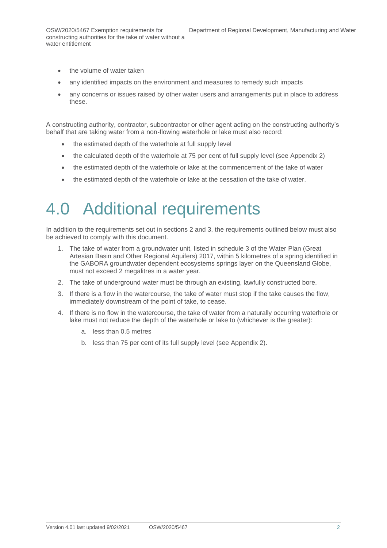- the volume of water taken
- any identified impacts on the environment and measures to remedy such impacts
- any concerns or issues raised by other water users and arrangements put in place to address these.

A constructing authority, contractor, subcontractor or other agent acting on the constructing authority's behalf that are taking water from a non-flowing waterhole or lake must also record:

- the estimated depth of the waterhole at full supply level
- the calculated depth of the waterhole at 75 per cent of full supply level (see Appendix 2)
- the estimated depth of the waterhole or lake at the commencement of the take of water
- the estimated depth of the waterhole or lake at the cessation of the take of water.

### <span id="page-6-0"></span>4.0 Additional requirements

In addition to the requirements set out in sections 2 and 3, the requirements outlined below must also be achieved to comply with this document.

- 1. The take of water from a groundwater unit, listed in schedule 3 of the Water Plan (Great Artesian Basin and Other Regional Aquifers) 2017, within 5 kilometres of a spring identified in the GABORA groundwater dependent ecosystems springs layer on the Queensland Globe, must not exceed 2 megalitres in a water year.
- 2. The take of underground water must be through an existing, lawfully constructed bore.
- 3. If there is a flow in the watercourse, the take of water must stop if the take causes the flow, immediately downstream of the point of take, to cease.
- 4. If there is no flow in the watercourse, the take of water from a naturally occurring waterhole or lake must not reduce the depth of the waterhole or lake to (whichever is the greater):
	- a. less than 0.5 metres
	- b. less than 75 per cent of its full supply level (see Appendix 2).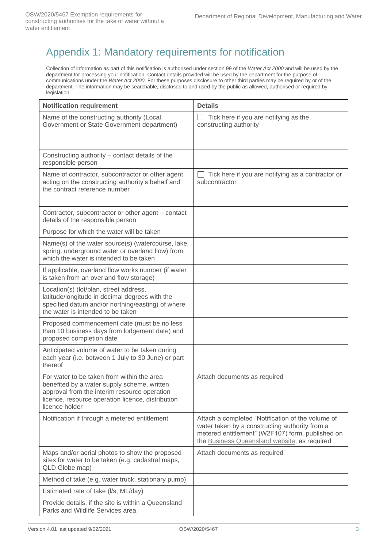#### <span id="page-7-0"></span>Appendix 1: Mandatory requirements for notification

Collection of information as part of this notification is authorised under section 99 of the *Water Act 2000* and will be used by the department for processing your notification. Contact details provided will be used by the department for the purpose of communications under the *Water Act 2000*. For these purposes disclosure to other third parties may be required by or of the department. The information may be searchable, disclosed to and used by the public as allowed, authorised or required by legislation.

| <b>Notification requirement</b>                                                                                                                                                                                  | <b>Details</b>                                                                                                                                                                                          |
|------------------------------------------------------------------------------------------------------------------------------------------------------------------------------------------------------------------|---------------------------------------------------------------------------------------------------------------------------------------------------------------------------------------------------------|
| Name of the constructing authority (Local<br>Government or State Government department)                                                                                                                          | Tick here if you are notifying as the<br>constructing authority                                                                                                                                         |
| Constructing authority – contact details of the<br>responsible person                                                                                                                                            |                                                                                                                                                                                                         |
| Name of contractor, subcontractor or other agent<br>acting on the constructing authority's behalf and<br>the contract reference number                                                                           | Tick here if you are notifying as a contractor or<br>subcontractor                                                                                                                                      |
| Contractor, subcontractor or other agent – contact<br>details of the responsible person                                                                                                                          |                                                                                                                                                                                                         |
| Purpose for which the water will be taken                                                                                                                                                                        |                                                                                                                                                                                                         |
| Name(s) of the water source(s) (watercourse, lake,<br>spring, underground water or overland flow) from<br>which the water is intended to be taken                                                                |                                                                                                                                                                                                         |
| If applicable, overland flow works number (if water<br>is taken from an overland flow storage)                                                                                                                   |                                                                                                                                                                                                         |
| Location(s) (lot/plan, street address,<br>latitude/longitude in decimal degrees with the<br>specified datum and/or northing/easting) of where<br>the water is intended to be taken                               |                                                                                                                                                                                                         |
| Proposed commencement date (must be no less<br>than 10 business days from lodgement date) and<br>proposed completion date                                                                                        |                                                                                                                                                                                                         |
| Anticipated volume of water to be taken during<br>each year (i.e. between 1 July to 30 June) or part<br>thereof                                                                                                  |                                                                                                                                                                                                         |
| For water to be taken from within the area<br>benefited by a water supply scheme, written<br>approval from the interim resource operation<br>licence, resource operation licence, distribution<br>licence holder | Attach documents as required                                                                                                                                                                            |
| Notification if through a metered entitlement                                                                                                                                                                    | Attach a completed "Notification of the volume of<br>water taken by a constructing authority from a<br>metered entitlement" (W2F107) form, published on<br>the Business Queensland website, as required |
| Maps and/or aerial photos to show the proposed<br>sites for water to be taken (e.g. cadastral maps,<br>QLD Globe map)                                                                                            | Attach documents as required                                                                                                                                                                            |
| Method of take (e.g. water truck, stationary pump)                                                                                                                                                               |                                                                                                                                                                                                         |
| Estimated rate of take (I/s, ML/day)                                                                                                                                                                             |                                                                                                                                                                                                         |
| Provide details, if the site is within a Queensland<br>Parks and Wildlife Services area.                                                                                                                         |                                                                                                                                                                                                         |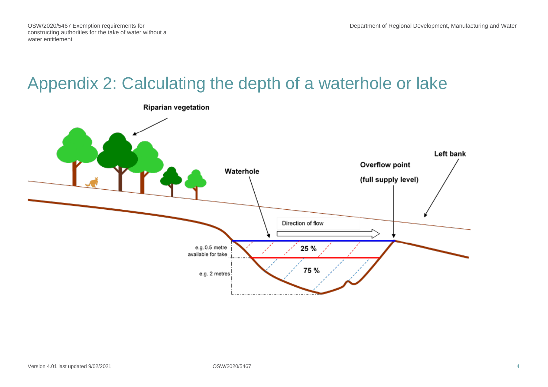OSW/2020/5467 Exemption requirements for constructing authorities for the take of water without a water entitlement

### Appendix 2: Calculating the depth of a waterhole or lake

<span id="page-8-0"></span>